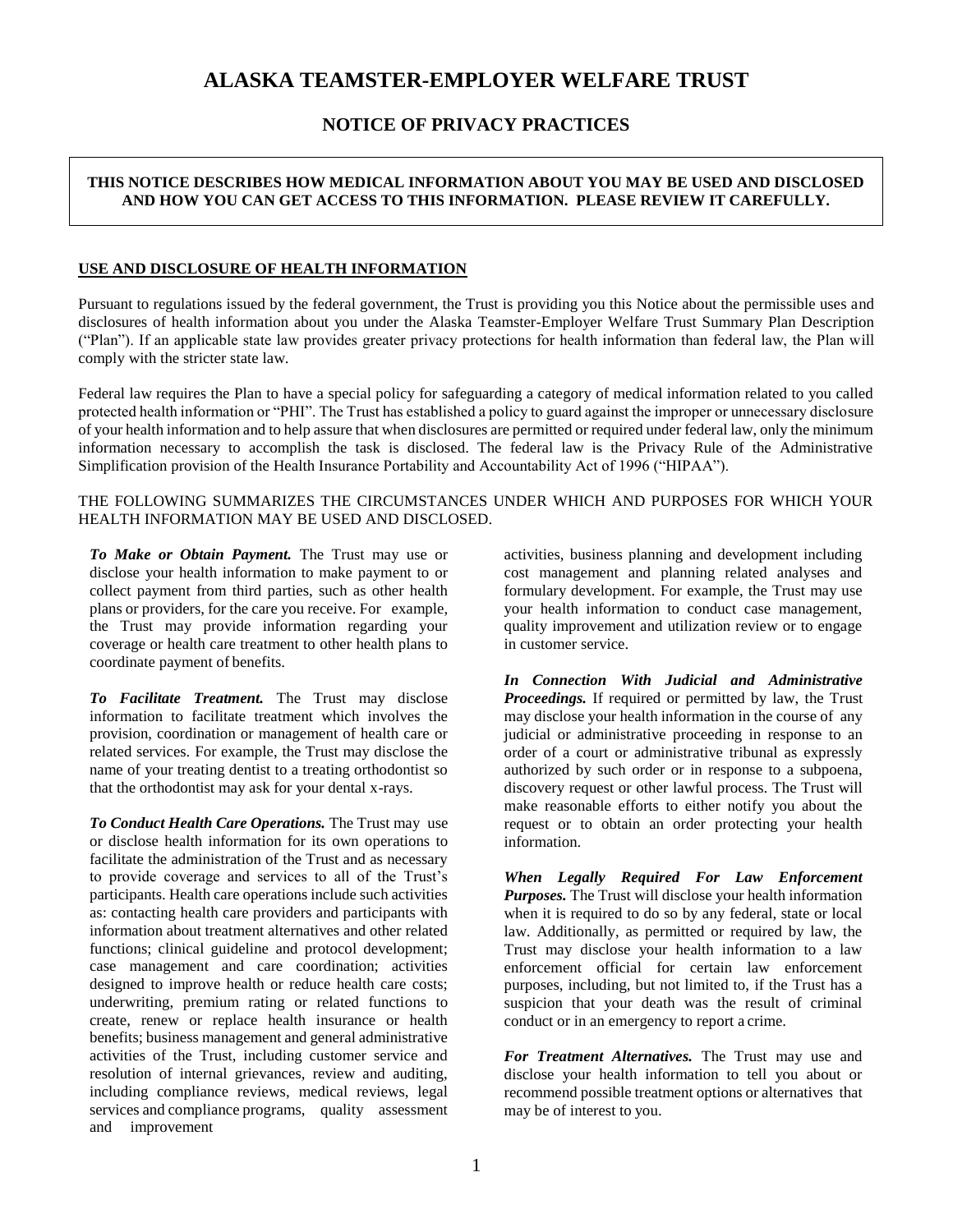# **ALASKA TEAMSTER-EMPLOYER WELFARE TRUST**

# **NOTICE OF PRIVACY PRACTICES**

# **THIS NOTICE DESCRIBES HOW MEDICAL INFORMATION ABOUT YOU MAY BE USED AND DISCLOSED AND HOW YOU CAN GET ACCESS TO THIS INFORMATION. PLEASE REVIEW IT CAREFULLY.**

## **USE AND DISCLOSURE OF HEALTH INFORMATION**

Pursuant to regulations issued by the federal government, the Trust is providing you this Notice about the permissible uses and disclosures of health information about you under the Alaska Teamster-Employer Welfare Trust Summary Plan Description ("Plan"). If an applicable state law provides greater privacy protections for health information than federal law, the Plan will comply with the stricter state law.

Federal law requires the Plan to have a special policy for safeguarding a category of medical information related to you called protected health information or "PHI". The Trust has established a policy to guard against the improper or unnecessary disclosure of your health information and to help assure that when disclosures are permitted or required under federal law, only the minimum information necessary to accomplish the task is disclosed. The federal law is the Privacy Rule of the Administrative Simplification provision of the Health Insurance Portability and Accountability Act of 1996 ("HIPAA").

### THE FOLLOWING SUMMARIZES THE CIRCUMSTANCES UNDER WHICH AND PURPOSES FOR WHICH YOUR HEALTH INFORMATION MAY BE USED AND DISCLOSED.

*To Make or Obtain Payment.* The Trust may use or disclose your health information to make payment to or collect payment from third parties, such as other health plans or providers, for the care you receive. For example, the Trust may provide information regarding your coverage or health care treatment to other health plans to coordinate payment of benefits.

*To Facilitate Treatment.* The Trust may disclose information to facilitate treatment which involves the provision, coordination or management of health care or related services. For example, the Trust may disclose the name of your treating dentist to a treating orthodontist so that the orthodontist may ask for your dental x-rays.

*To Conduct Health Care Operations.* The Trust may use or disclose health information for its own operations to facilitate the administration of the Trust and as necessary to provide coverage and services to all of the Trust's participants. Health care operations include such activities as: contacting health care providers and participants with information about treatment alternatives and other related functions; clinical guideline and protocol development; case management and care coordination; activities designed to improve health or reduce health care costs; underwriting, premium rating or related functions to create, renew or replace health insurance or health benefits; business management and general administrative activities of the Trust, including customer service and resolution of internal grievances, review and auditing, including compliance reviews, medical reviews, legal services and compliance programs, quality assessment and improvement

activities, business planning and development including cost management and planning related analyses and formulary development. For example, the Trust may use your health information to conduct case management, quality improvement and utilization review or to engage in customer service.

*In Connection With Judicial and Administrative Proceedings.* If required or permitted by law, the Trust may disclose your health information in the course of any judicial or administrative proceeding in response to an order of a court or administrative tribunal as expressly authorized by such order or in response to a subpoena, discovery request or other lawful process. The Trust will make reasonable efforts to either notify you about the request or to obtain an order protecting your health information.

*When Legally Required For Law Enforcement Purposes.* The Trust will disclose your health information when it is required to do so by any federal, state or local law. Additionally, as permitted or required by law, the Trust may disclose your health information to a law enforcement official for certain law enforcement purposes, including, but not limited to, if the Trust has a suspicion that your death was the result of criminal conduct or in an emergency to report a crime.

*For Treatment Alternatives.* The Trust may use and disclose your health information to tell you about or recommend possible treatment options or alternatives that may be of interest to you.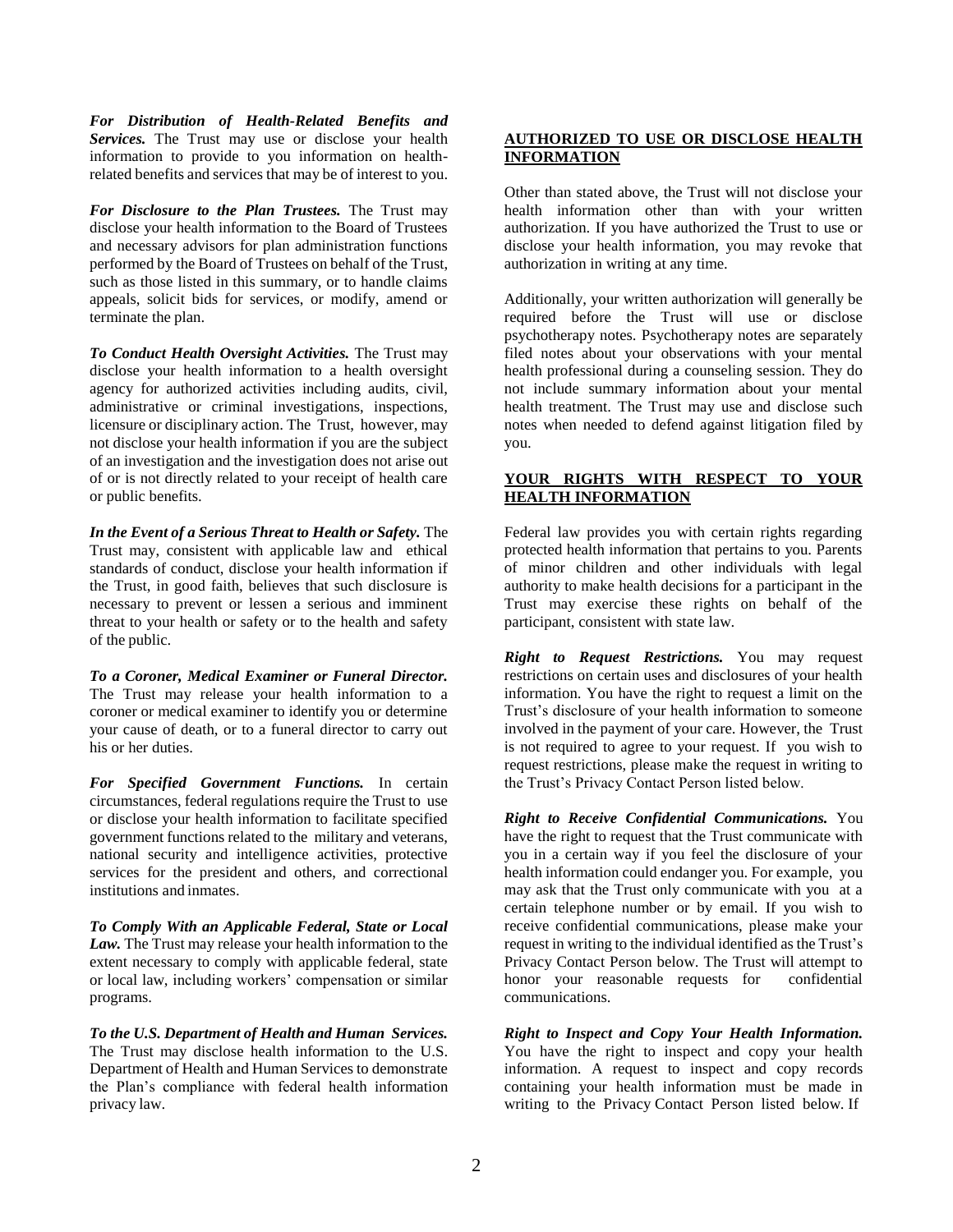*For Distribution of Health-Related Benefits and Services.* The Trust may use or disclose your health information to provide to you information on healthrelated benefits and services that may be of interest to you.

*For Disclosure to the Plan Trustees.* The Trust may disclose your health information to the Board of Trustees and necessary advisors for plan administration functions performed by the Board of Trustees on behalf of the Trust, such as those listed in this summary, or to handle claims appeals, solicit bids for services, or modify, amend or terminate the plan.

*To Conduct Health Oversight Activities.* The Trust may disclose your health information to a health oversight agency for authorized activities including audits, civil, administrative or criminal investigations, inspections, licensure or disciplinary action. The Trust, however, may not disclose your health information if you are the subject of an investigation and the investigation does not arise out of or is not directly related to your receipt of health care or public benefits.

*In the Event of a Serious Threat to Health or Safety.* The Trust may, consistent with applicable law and ethical standards of conduct, disclose your health information if the Trust, in good faith, believes that such disclosure is necessary to prevent or lessen a serious and imminent threat to your health or safety or to the health and safety of the public.

*To a Coroner, Medical Examiner or Funeral Director.*  The Trust may release your health information to a coroner or medical examiner to identify you or determine your cause of death, or to a funeral director to carry out his or her duties.

*For Specified Government Functions.* In certain circumstances, federal regulations require the Trust to use or disclose your health information to facilitate specified government functions related to the military and veterans, national security and intelligence activities, protective services for the president and others, and correctional institutions and inmates.

*To Comply With an Applicable Federal, State or Local Law.* The Trust may release your health information to the extent necessary to comply with applicable federal, state or local law, including workers' compensation or similar programs.

*To the U.S. Department of Health and Human Services.*  The Trust may disclose health information to the U.S. Department of Health and Human Services to demonstrate the Plan's compliance with federal health information privacy law.

## **AUTHORIZED TO USE OR DISCLOSE HEALTH INFORMATION**

Other than stated above, the Trust will not disclose your health information other than with your written authorization. If you have authorized the Trust to use or disclose your health information, you may revoke that authorization in writing at any time.

Additionally, your written authorization will generally be required before the Trust will use or disclose psychotherapy notes. Psychotherapy notes are separately filed notes about your observations with your mental health professional during a counseling session. They do not include summary information about your mental health treatment. The Trust may use and disclose such notes when needed to defend against litigation filed by you.

# **YOUR RIGHTS WITH RESPECT TO YOUR HEALTH INFORMATION**

Federal law provides you with certain rights regarding protected health information that pertains to you. Parents of minor children and other individuals with legal authority to make health decisions for a participant in the Trust may exercise these rights on behalf of the participant, consistent with state law.

*Right to Request Restrictions.* You may request restrictions on certain uses and disclosures of your health information. You have the right to request a limit on the Trust's disclosure of your health information to someone involved in the payment of your care. However, the Trust is not required to agree to your request. If you wish to request restrictions, please make the request in writing to the Trust's Privacy Contact Person listed below.

*Right to Receive Confidential Communications.* You have the right to request that the Trust communicate with you in a certain way if you feel the disclosure of your health information could endanger you. For example, you may ask that the Trust only communicate with you at a certain telephone number or by email. If you wish to receive confidential communications, please make your request in writing to the individual identified as the Trust's Privacy Contact Person below. The Trust will attempt to honor your reasonable requests for confidential communications.

*Right to Inspect and Copy Your Health Information.*  You have the right to inspect and copy your health information. A request to inspect and copy records containing your health information must be made in writing to the Privacy Contact Person listed below. If